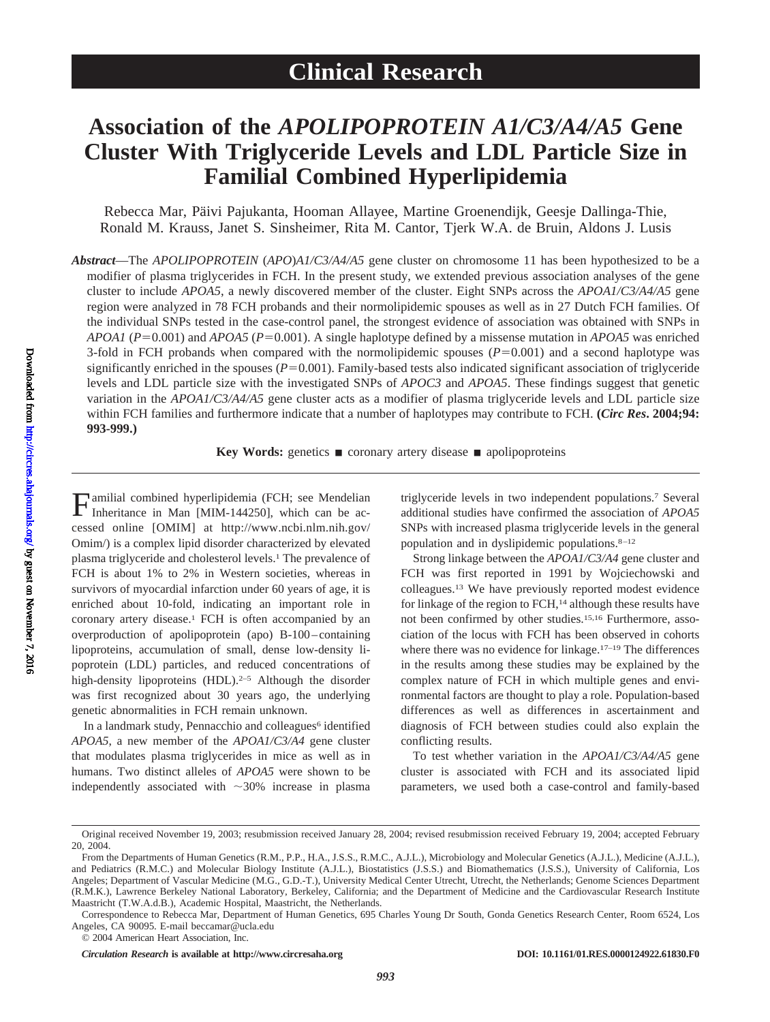# **Association of the** *APOLIPOPROTEIN A1/C3/A4/A5* **Gene Cluster With Triglyceride Levels and LDL Particle Size in Familial Combined Hyperlipidemia**

Rebecca Mar, Päivi Pajukanta, Hooman Allayee, Martine Groenendijk, Geesje Dallinga-Thie, Ronald M. Krauss, Janet S. Sinsheimer, Rita M. Cantor, Tjerk W.A. de Bruin, Aldons J. Lusis

*Abstract*—The *APOLIPOPROTEIN* (*APO*)*A1/C3/A4/A5* gene cluster on chromosome 11 has been hypothesized to be a modifier of plasma triglycerides in FCH. In the present study, we extended previous association analyses of the gene cluster to include *APOA5*, a newly discovered member of the cluster. Eight SNPs across the *APOA1/C3/A4/A5* gene region were analyzed in 78 FCH probands and their normolipidemic spouses as well as in 27 Dutch FCH families. Of the individual SNPs tested in the case-control panel, the strongest evidence of association was obtained with SNPs in *APOA1* (*P*0.001) and *APOA5* (*P*0.001). A single haplotype defined by a missense mutation in *APOA5* was enriched 3-fold in FCH probands when compared with the normolipidemic spouses  $(P=0.001)$  and a second haplotype was significantly enriched in the spouses  $(P=0.001)$ . Family-based tests also indicated significant association of triglyceride levels and LDL particle size with the investigated SNPs of *APOC3* and *APOA5*. These findings suggest that genetic variation in the *APOA1/C3/A4/A5* gene cluster acts as a modifier of plasma triglyceride levels and LDL particle size within FCH families and furthermore indicate that a number of haplotypes may contribute to FCH. **(***Circ Res***. 2004;94: 993-999.)**

**Key Words:** genetics ■ coronary artery disease ■ apolipoproteins

Familial combined hyperlipidemia (FCH; see Mendelian Inheritance in Man [MIM-144250], which can be accessed online [OMIM] at http://www.ncbi.nlm.nih.gov/ Omim/) is a complex lipid disorder characterized by elevated plasma triglyceride and cholesterol levels.1 The prevalence of FCH is about 1% to 2% in Western societies, whereas in survivors of myocardial infarction under 60 years of age, it is enriched about 10-fold, indicating an important role in coronary artery disease.1 FCH is often accompanied by an overproduction of apolipoprotein (apo) B-100–containing lipoproteins, accumulation of small, dense low-density lipoprotein (LDL) particles, and reduced concentrations of high-density lipoproteins  $(HDL)$ .<sup>2–5</sup> Although the disorder was first recognized about 30 years ago, the underlying genetic abnormalities in FCH remain unknown.

In a landmark study, Pennacchio and colleagues<sup>6</sup> identified *APOA5*, a new member of the *APOA1/C3/A4* gene cluster that modulates plasma triglycerides in mice as well as in humans. Two distinct alleles of *APOA5* were shown to be independently associated with  $\sim$ 30% increase in plasma

triglyceride levels in two independent populations.7 Several additional studies have confirmed the association of *APOA5* SNPs with increased plasma triglyceride levels in the general population and in dyslipidemic populations.8–12

Strong linkage between the *APOA1/C3/A4* gene cluster and FCH was first reported in 1991 by Wojciechowski and colleagues.13 We have previously reported modest evidence for linkage of the region to FCH,<sup>14</sup> although these results have not been confirmed by other studies.15,16 Furthermore, association of the locus with FCH has been observed in cohorts where there was no evidence for linkage.<sup>17-19</sup> The differences in the results among these studies may be explained by the complex nature of FCH in which multiple genes and environmental factors are thought to play a role. Population-based differences as well as differences in ascertainment and diagnosis of FCH between studies could also explain the conflicting results.

To test whether variation in the *APOA1/C3/A4/A5* gene cluster is associated with FCH and its associated lipid parameters, we used both a case-control and family-based

Original received November 19, 2003; resubmission received January 28, 2004; revised resubmission received February 19, 2004; accepted February 20, 2004.

From the Departments of Human Genetics (R.M., P.P., H.A., J.S.S., R.M.C., A.J.L.), Microbiology and Molecular Genetics (A.J.L.), Medicine (A.J.L.), and Pediatrics (R.M.C.) and Molecular Biology Institute (A.J.L.), Biostatistics (J.S.S.) and Biomathematics (J.S.S.), University of California, Los Angeles; Department of Vascular Medicine (M.G., G.D.-T.), University Medical Center Utrecht, Utrecht, the Netherlands; Genome Sciences Department (R.M.K.), Lawrence Berkeley National Laboratory, Berkeley, California; and the Department of Medicine and the Cardiovascular Research Institute Maastricht (T.W.A.d.B.), Academic Hospital, Maastricht, the Netherlands.

Correspondence to Rebecca Mar, Department of Human Genetics, 695 Charles Young Dr South, Gonda Genetics Research Center, Room 6524, Los Angeles, CA 90095. E-mail beccamar@ucla.edu

<sup>© 2004</sup> American Heart Association, Inc.

*Circulation Research* is available at http://www.circresaha.org DOI: 10.1161/01.RES.0000124922.61830.F0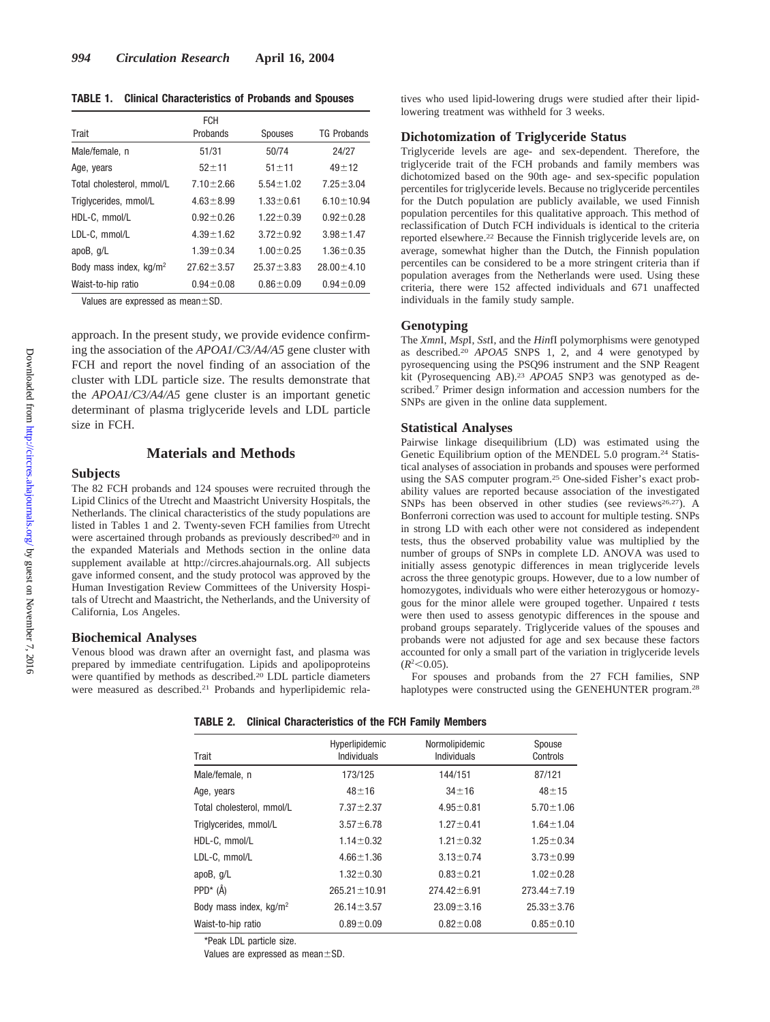**TABLE 1. Clinical Characteristics of Probands and Spouses**

|                                    | <b>FCH</b>       |                  |                    |  |
|------------------------------------|------------------|------------------|--------------------|--|
| Trait                              | Probands         | <b>Spouses</b>   | <b>TG Probands</b> |  |
| Male/female, n                     | 51/31            | 50/74            | 24/27              |  |
| Age, years                         | $52 + 11$        | $51 + 11$        | $49 + 12$          |  |
| Total cholesterol, mmol/L          | $7.10 \pm 2.66$  | $5.54 \pm 1.02$  | $7.25 \pm 3.04$    |  |
| Triglycerides, mmol/L              | $4.63 \pm 8.99$  | $1.33 \pm 0.61$  | $6.10 \pm 10.94$   |  |
| HDL-C, mmol/L                      | $0.92 \pm 0.26$  | $1.22 \pm 0.39$  | $0.92 \pm 0.28$    |  |
| LDL-C, mmol/L                      | $4.39 \pm 1.62$  | $3.72 \pm 0.92$  | $3.98 \pm 1.47$    |  |
| apoB, $q/L$                        | $1.39 \pm 0.34$  | $1.00 \pm 0.25$  | $1.36 \pm 0.35$    |  |
| Body mass index, kg/m <sup>2</sup> | $27.62 \pm 3.57$ | $25.37 \pm 3.83$ | $28.00 \pm 4.10$   |  |
| Waist-to-hip ratio                 | $0.94 \pm 0.08$  | $0.86 \pm 0.09$  | $0.94 \pm 0.09$    |  |

Values are expressed as mean $\pm$ SD.

approach. In the present study, we provide evidence confirming the association of the *APOA1/C3/A4/A5* gene cluster with FCH and report the novel finding of an association of the cluster with LDL particle size. The results demonstrate that the *APOA1/C3/A4/A5* gene cluster is an important genetic determinant of plasma triglyceride levels and LDL particle size in FCH.

### **Materials and Methods**

#### **Subjects**

The 82 FCH probands and 124 spouses were recruited through the Lipid Clinics of the Utrecht and Maastricht University Hospitals, the Netherlands. The clinical characteristics of the study populations are listed in Tables 1 and 2. Twenty-seven FCH families from Utrecht were ascertained through probands as previously described<sup>20</sup> and in the expanded Materials and Methods section in the online data supplement available at http://circres.ahajournals.org. All subjects gave informed consent, and the study protocol was approved by the Human Investigation Review Committees of the University Hospitals of Utrecht and Maastricht, the Netherlands, and the University of California, Los Angeles.

#### **Biochemical Analyses**

Venous blood was drawn after an overnight fast, and plasma was prepared by immediate centrifugation. Lipids and apolipoproteins were quantified by methods as described.<sup>20</sup> LDL particle diameters were measured as described.21 Probands and hyperlipidemic relatives who used lipid-lowering drugs were studied after their lipidlowering treatment was withheld for 3 weeks.

#### **Dichotomization of Triglyceride Status**

Triglyceride levels are age- and sex-dependent. Therefore, the triglyceride trait of the FCH probands and family members was dichotomized based on the 90th age- and sex-specific population percentiles for triglyceride levels. Because no triglyceride percentiles for the Dutch population are publicly available, we used Finnish population percentiles for this qualitative approach. This method of reclassification of Dutch FCH individuals is identical to the criteria reported elsewhere.22 Because the Finnish triglyceride levels are, on average, somewhat higher than the Dutch, the Finnish population percentiles can be considered to be a more stringent criteria than if population averages from the Netherlands were used. Using these criteria, there were 152 affected individuals and 671 unaffected individuals in the family study sample.

#### **Genotyping**

The *Xmn*I, *Msp*I, *Sst*I, and the *Hin*fI polymorphisms were genotyped as described.20 *APOA5* SNPS 1, 2, and 4 were genotyped by pyrosequencing using the PSQ96 instrument and the SNP Reagent kit (Pyrosequencing AB).23 *APOA5* SNP3 was genotyped as described.7 Primer design information and accession numbers for the SNPs are given in the online data supplement.

#### **Statistical Analyses**

Pairwise linkage disequilibrium (LD) was estimated using the Genetic Equilibrium option of the MENDEL 5.0 program.24 Statistical analyses of association in probands and spouses were performed using the SAS computer program.25 One-sided Fisher's exact probability values are reported because association of the investigated SNPs has been observed in other studies (see reviews<sup>26,27</sup>). A Bonferroni correction was used to account for multiple testing. SNPs in strong LD with each other were not considered as independent tests, thus the observed probability value was multiplied by the number of groups of SNPs in complete LD. ANOVA was used to initially assess genotypic differences in mean triglyceride levels across the three genotypic groups. However, due to a low number of homozygotes, individuals who were either heterozygous or homozygous for the minor allele were grouped together. Unpaired *t* tests were then used to assess genotypic differences in the spouse and proband groups separately. Triglyceride values of the spouses and probands were not adjusted for age and sex because these factors accounted for only a small part of the variation in triglyceride levels  $(R^2<0.05)$ .

For spouses and probands from the 27 FCH families, SNP haplotypes were constructed using the GENEHUNTER program.<sup>28</sup>

**TABLE 2. Clinical Characteristics of the FCH Family Members**

| Trait                              | Hyperlipidemic<br>Individuals | Normolipidemic<br>Individuals | Spouse<br>Controls |  |
|------------------------------------|-------------------------------|-------------------------------|--------------------|--|
| Male/female, n                     | 173/125                       | 144/151                       | 87/121             |  |
| Age, years                         | $48 + 16$                     | $34 + 16$                     | $48 + 15$          |  |
| Total cholesterol, mmol/L          | $7.37 \pm 2.37$               | $4.95 \pm 0.81$               | $5.70 \pm 1.06$    |  |
| Triglycerides, mmol/L              | $3.57 \pm 6.78$               | $1.27 \pm 0.41$               | $1.64 \pm 1.04$    |  |
| HDL-C, mmol/L                      | $1.14 \pm 0.32$               | $1.21 \pm 0.32$               | $1.25 \pm 0.34$    |  |
| LDL-C, mmol/L                      | $4.66 \pm 1.36$               | $3.13 \pm 0.74$               | $3.73 \pm 0.99$    |  |
| apoB, $q/L$                        | $1.32 \pm 0.30$               | $0.83 \pm 0.21$               | $1.02 \pm 0.28$    |  |
| $PPD^*$ (Å)                        | $265.21 \pm 10.91$            | $274.42 \pm 6.91$             | $273.44 \pm 7.19$  |  |
| Body mass index, kg/m <sup>2</sup> | $26.14 \pm 3.57$              | $23.09 \pm 3.16$              | $25.33 \pm 3.76$   |  |
| Waist-to-hip ratio                 | $0.89 + 0.09$                 | $0.82 \pm 0.08$               | $0.85 + 0.10$      |  |

\*Peak LDL particle size.

Values are expressed as mean $\pm$ SD.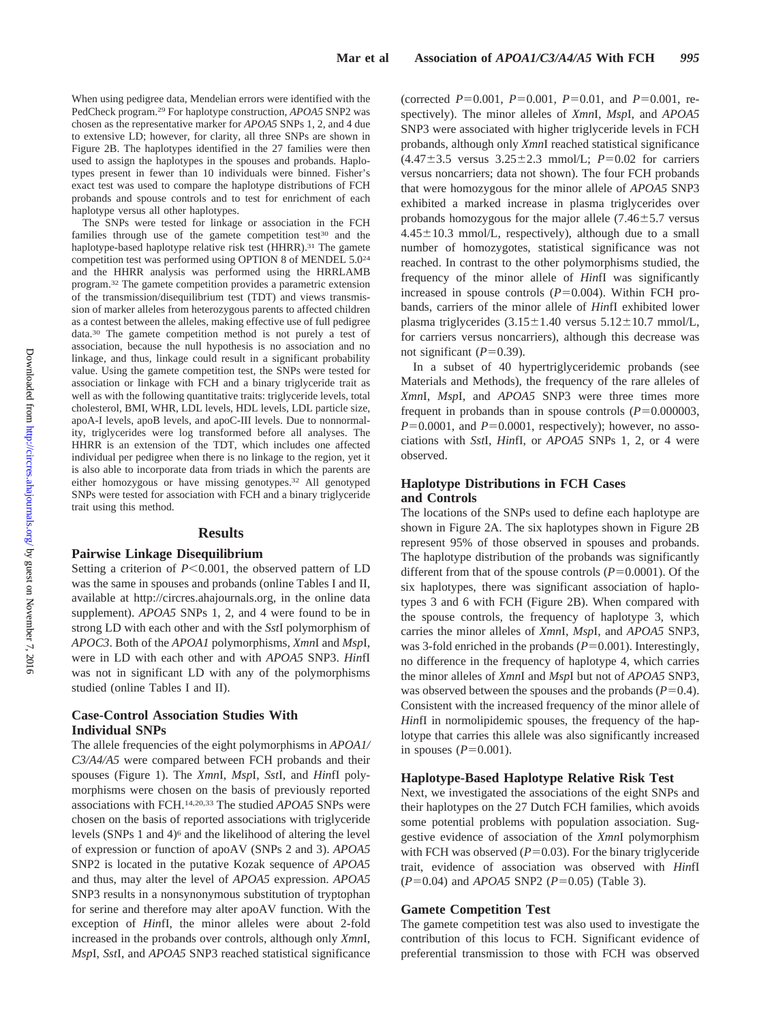When using pedigree data, Mendelian errors were identified with the PedCheck program.29 For haplotype construction, *APOA5* SNP2 was chosen as the representative marker for *APOA5* SNPs 1, 2, and 4 due to extensive LD; however, for clarity, all three SNPs are shown in Figure 2B. The haplotypes identified in the 27 families were then used to assign the haplotypes in the spouses and probands. Haplotypes present in fewer than 10 individuals were binned. Fisher's exact test was used to compare the haplotype distributions of FCH probands and spouse controls and to test for enrichment of each haplotype versus all other haplotypes.

The SNPs were tested for linkage or association in the FCH families through use of the gamete competition test<sup>30</sup> and the haplotype-based haplotype relative risk test (HHRR).<sup>31</sup> The gamete competition test was performed using OPTION 8 of MENDEL 5.024 and the HHRR analysis was performed using the HRRLAMB program.32 The gamete competition provides a parametric extension of the transmission/disequilibrium test (TDT) and views transmission of marker alleles from heterozygous parents to affected children as a contest between the alleles, making effective use of full pedigree data.30 The gamete competition method is not purely a test of association, because the null hypothesis is no association and no linkage, and thus, linkage could result in a significant probability value. Using the gamete competition test, the SNPs were tested for association or linkage with FCH and a binary triglyceride trait as well as with the following quantitative traits: triglyceride levels, total cholesterol, BMI, WHR, LDL levels, HDL levels, LDL particle size, apoA-I levels, apoB levels, and apoC-III levels. Due to nonnormality, triglycerides were log transformed before all analyses. The HHRR is an extension of the TDT, which includes one affected individual per pedigree when there is no linkage to the region, yet it is also able to incorporate data from triads in which the parents are either homozygous or have missing genotypes.32 All genotyped SNPs were tested for association with FCH and a binary triglyceride trait using this method.

#### **Results**

#### **Pairwise Linkage Disequilibrium**

Setting a criterion of  $P<0.001$ , the observed pattern of LD was the same in spouses and probands (online Tables I and II, available at http://circres.ahajournals.org, in the online data supplement). *APOA5* SNPs 1, 2, and 4 were found to be in strong LD with each other and with the *Sst*I polymorphism of *APOC3*. Both of the *APOA1* polymorphisms, *Xmn*I and *Msp*I, were in LD with each other and with *APOA5* SNP3. *Hin*fI was not in significant LD with any of the polymorphisms studied (online Tables I and II).

### **Case-Control Association Studies With Individual SNPs**

The allele frequencies of the eight polymorphisms in *APOA1/ C3/A4/A5* were compared between FCH probands and their spouses (Figure 1). The *Xmn*I, *Msp*I, *Sst*I, and *Hin*fI polymorphisms were chosen on the basis of previously reported associations with FCH.14,20,33 The studied *APOA5* SNPs were chosen on the basis of reported associations with triglyceride levels (SNPs 1 and 4)6 and the likelihood of altering the level of expression or function of apoAV (SNPs 2 and 3). *APOA5* SNP2 is located in the putative Kozak sequence of *APOA5* and thus, may alter the level of *APOA5* expression. *APOA5* SNP3 results in a nonsynonymous substitution of tryptophan for serine and therefore may alter apoAV function. With the exception of *Hin*fI, the minor alleles were about 2-fold increased in the probands over controls, although only *Xmn*I, *Msp*I, *Sst*I, and *APOA5* SNP3 reached statistical significance

(corrected  $P=0.001$ ,  $P=0.001$ ,  $P=0.01$ , and  $P=0.001$ , respectively). The minor alleles of *Xmn*I, *Msp*I, and *APOA5* SNP3 were associated with higher triglyceride levels in FCH probands, although only *Xmn*I reached statistical significance  $(4.47 \pm 3.5 \text{ versus } 3.25 \pm 2.3 \text{ mmol/L}; P=0.02 \text{ for carriers}$ versus noncarriers; data not shown). The four FCH probands that were homozygous for the minor allele of *APOA5* SNP3 exhibited a marked increase in plasma triglycerides over probands homozygous for the major allele  $(7.46 \pm 5.7)$  versus  $4.45 \pm 10.3$  mmol/L, respectively), although due to a small number of homozygotes, statistical significance was not reached. In contrast to the other polymorphisms studied, the frequency of the minor allele of *Hin*fI was significantly increased in spouse controls  $(P=0.004)$ . Within FCH probands, carriers of the minor allele of *Hin*fI exhibited lower plasma triglycerides  $(3.15 \pm 1.40$  versus  $5.12 \pm 10.7$  mmol/L, for carriers versus noncarriers), although this decrease was not significant  $(P=0.39)$ .

In a subset of 40 hypertriglyceridemic probands (see Materials and Methods), the frequency of the rare alleles of *Xmn*I, *Msp*I, and *APOA5* SNP3 were three times more frequent in probands than in spouse controls  $(P=0.000003,$  $P=0.0001$ , and  $P=0.0001$ , respectively); however, no associations with *Sst*I, *Hin*fI, or *APOA5* SNPs 1, 2, or 4 were observed.

### **Haplotype Distributions in FCH Cases and Controls**

The locations of the SNPs used to define each haplotype are shown in Figure 2A. The six haplotypes shown in Figure 2B represent 95% of those observed in spouses and probands. The haplotype distribution of the probands was significantly different from that of the spouse controls  $(P=0.0001)$ . Of the six haplotypes, there was significant association of haplotypes 3 and 6 with FCH (Figure 2B). When compared with the spouse controls, the frequency of haplotype 3, which carries the minor alleles of *Xmn*I, *Msp*I, and *APOA5* SNP3, was 3-fold enriched in the probands  $(P=0.001)$ . Interestingly, no difference in the frequency of haplotype 4, which carries the minor alleles of *Xmn*I and *Msp*I but not of *APOA5* SNP3, was observed between the spouses and the probands  $(P=0.4)$ . Consistent with the increased frequency of the minor allele of *Hin*fI in normolipidemic spouses, the frequency of the haplotype that carries this allele was also significantly increased in spouses  $(P=0.001)$ .

#### **Haplotype-Based Haplotype Relative Risk Test**

Next, we investigated the associations of the eight SNPs and their haplotypes on the 27 Dutch FCH families, which avoids some potential problems with population association. Suggestive evidence of association of the *Xmn*I polymorphism with FCH was observed  $(P=0.03)$ . For the binary triglyceride trait, evidence of association was observed with *Hin*fI  $(P=0.04)$  and *APOA5* SNP2  $(P=0.05)$  (Table 3).

#### **Gamete Competition Test**

The gamete competition test was also used to investigate the contribution of this locus to FCH. Significant evidence of preferential transmission to those with FCH was observed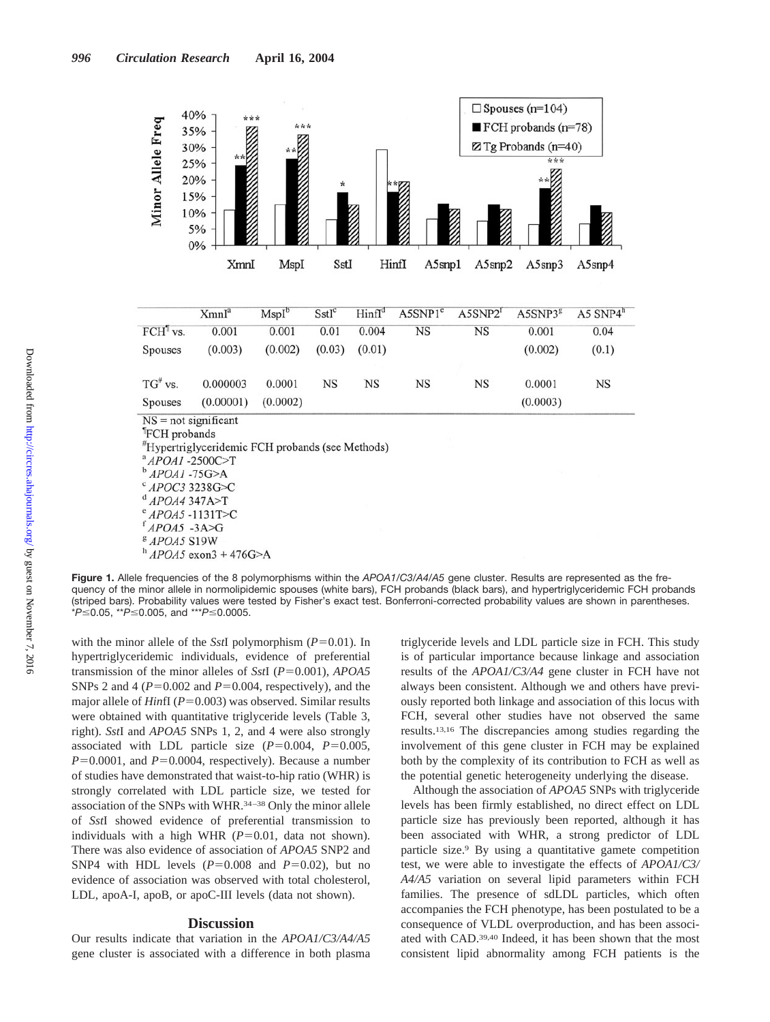

**Figure 1.** Allele frequencies of the 8 polymorphisms within the *APOA1/C3/A4/A5* gene cluster. Results are represented as the frequency of the minor allele in normolipidemic spouses (white bars), FCH probands (black bars), and hypertriglyceridemic FCH probands (striped bars). Probability values were tested by Fisher's exact test. Bonferroni-corrected probability values are shown in parentheses. *\*P≤*0.05, *\*\*P≤*0.005, and *\*\*\*P≤*0.0005.

with the minor allele of the *SstI* polymorphism  $(P=0.01)$ . In hypertriglyceridemic individuals, evidence of preferential transmission of the minor alleles of *SstI* ( $P=0.001$ ), *APOA5* SNPs 2 and 4 ( $P=0.002$  and  $P=0.004$ , respectively), and the major allele of *HinfI* ( $P=0.003$ ) was observed. Similar results were obtained with quantitative triglyceride levels (Table 3, right). *Sst*I and *APOA5* SNPs 1, 2, and 4 were also strongly associated with LDL particle size  $(P=0.004, P=0.005,$  $P=0.0001$ , and  $P=0.0004$ , respectively). Because a number of studies have demonstrated that waist-to-hip ratio (WHR) is strongly correlated with LDL particle size, we tested for association of the SNPs with WHR.34–38 Only the minor allele of *Sst*I showed evidence of preferential transmission to individuals with a high WHR  $(P=0.01$ , data not shown). There was also evidence of association of *APOA5* SNP2 and SNP4 with HDL levels  $(P=0.008$  and  $P=0.02$ ), but no evidence of association was observed with total cholesterol, LDL, apoA-I, apoB, or apoC-III levels (data not shown).

#### **Discussion**

Our results indicate that variation in the *APOA1/C3/A4/A5* gene cluster is associated with a difference in both plasma triglyceride levels and LDL particle size in FCH. This study is of particular importance because linkage and association results of the *APOA1/C3/A4* gene cluster in FCH have not always been consistent. Although we and others have previously reported both linkage and association of this locus with FCH, several other studies have not observed the same results.13,16 The discrepancies among studies regarding the involvement of this gene cluster in FCH may be explained both by the complexity of its contribution to FCH as well as the potential genetic heterogeneity underlying the disease.

Although the association of *APOA5* SNPs with triglyceride levels has been firmly established, no direct effect on LDL particle size has previously been reported, although it has been associated with WHR, a strong predictor of LDL particle size.9 By using a quantitative gamete competition test, we were able to investigate the effects of *APOA1/C3/ A4/A5* variation on several lipid parameters within FCH families. The presence of sdLDL particles, which often accompanies the FCH phenotype, has been postulated to be a consequence of VLDL overproduction, and has been associated with CAD.39,40 Indeed, it has been shown that the most consistent lipid abnormality among FCH patients is the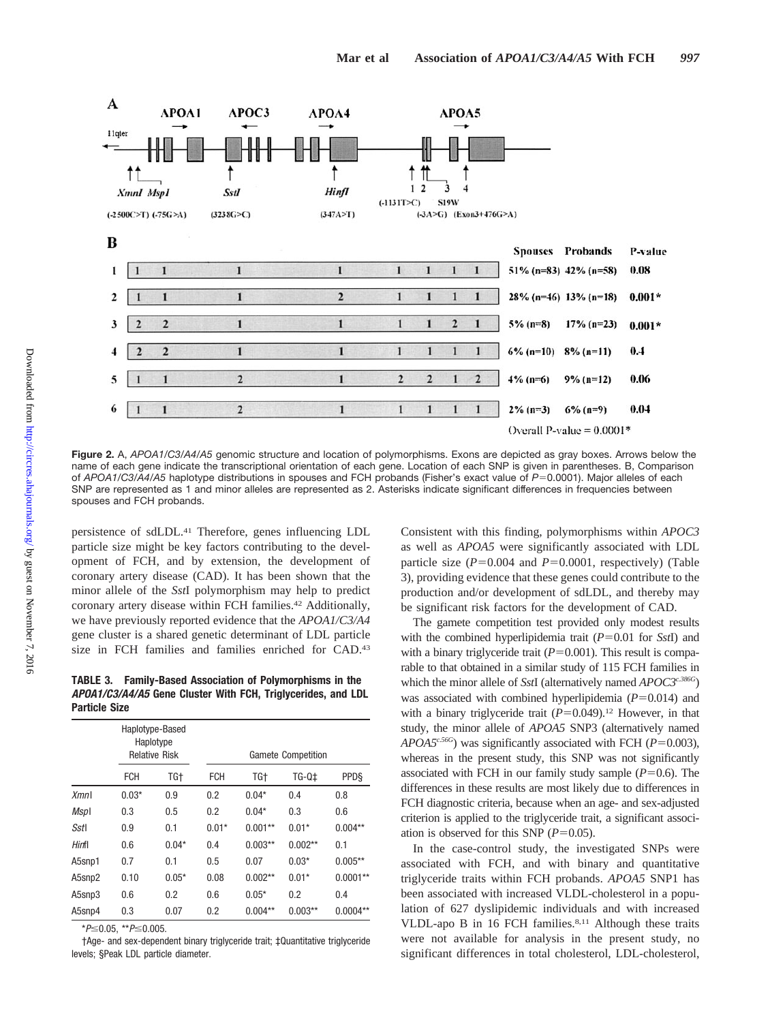

**Figure 2.** A, *APOA1/C3/A4/A5* genomic structure and location of polymorphisms. Exons are depicted as gray boxes. Arrows below the name of each gene indicate the transcriptional orientation of each gene. Location of each SNP is given in parentheses. B, Comparison of *APOA1/C3/A4/A5* haplotype distributions in spouses and FCH probands (Fisher's exact value of *P*=0.0001). Major alleles of each SNP are represented as 1 and minor alleles are represented as 2. Asterisks indicate significant differences in frequencies between spouses and FCH probands.

persistence of sdLDL.41 Therefore, genes influencing LDL particle size might be key factors contributing to the development of FCH, and by extension, the development of coronary artery disease (CAD). It has been shown that the minor allele of the *Sst*I polymorphism may help to predict coronary artery disease within FCH families.<sup>42</sup> Additionally, we have previously reported evidence that the *APOA1/C3/A4* gene cluster is a shared genetic determinant of LDL particle size in FCH families and families enriched for CAD.43

**TABLE 3. Family-Based Association of Polymorphisms in the** *APOA1/C3/A4/A5* **Gene Cluster With FCH, Triglycerides, and LDL Particle Size**

|        | Haplotype-Based<br>Haplotype<br><b>Relative Risk</b> |         |            | <b>Gamete Competition</b> |           |             |  |  |
|--------|------------------------------------------------------|---------|------------|---------------------------|-----------|-------------|--|--|
|        | FCH                                                  | TG†     | <b>FCH</b> | TG+                       | TG-Q‡     | <b>PPDS</b> |  |  |
| Xmnl   | $0.03*$                                              | 0.9     | 0.2        | $0.04*$                   | 0.4       | 0.8         |  |  |
| Mspl   | 0.3                                                  | 0.5     | 0.2        | $0.04*$                   | 0.3       | 0.6         |  |  |
| Sstl   | 0.9                                                  | 0.1     | $0.01*$    | $0.001**$                 | $0.01*$   | $0.004**$   |  |  |
| Hinfl  | 0.6                                                  | $0.04*$ | 0.4        | $0.003**$                 | $0.002**$ | 0.1         |  |  |
| A5snp1 | 0.7                                                  | 0.1     | 0.5        | 0.07                      | $0.03*$   | $0.005**$   |  |  |
| A5snp2 | 0.10                                                 | $0.05*$ | 0.08       | $0.002**$                 | $0.01*$   | $0.0001**$  |  |  |
| A5snp3 | 0.6                                                  | 0.2     | 0.6        | $0.05*$                   | 0.2       | 0.4         |  |  |
| A5snp4 | 0.3                                                  | 0.07    | 0.2        | $0.004**$                 | $0.003**$ | $0.0004**$  |  |  |

 $*P \leq 0.05$ ,  $*P \leq 0.005$ .

†Age- and sex-dependent binary triglyceride trait; ‡Quantitative triglyceride levels; §Peak LDL particle diameter.

Consistent with this finding, polymorphisms within *APOC3* as well as *APOA5* were significantly associated with LDL particle size  $(P=0.004$  and  $P=0.0001$ , respectively) (Table 3), providing evidence that these genes could contribute to the production and/or development of sdLDL, and thereby may be significant risk factors for the development of CAD.

The gamete competition test provided only modest results with the combined hyperlipidemia trait  $(P=0.01$  for *SstI*) and with a binary triglyceride trait  $(P=0.001)$ . This result is comparable to that obtained in a similar study of 115 FCH families in which the minor allele of *SstI* (alternatively named *APOC3<sup>c.386G</sup>*) was associated with combined hyperlipidemia  $(P=0.014)$  and with a binary triglyceride trait  $(P=0.049)$ .<sup>12</sup> However, in that study, the minor allele of *APOA5* SNP3 (alternatively named *APOA5<sup>c.56G</sup>*) was significantly associated with FCH ( $P=0.003$ ), whereas in the present study, this SNP was not significantly associated with FCH in our family study sample  $(P=0.6)$ . The differences in these results are most likely due to differences in FCH diagnostic criteria, because when an age- and sex-adjusted criterion is applied to the triglyceride trait, a significant association is observed for this SNP  $(P=0.05)$ .

In the case-control study, the investigated SNPs were associated with FCH, and with binary and quantitative triglyceride traits within FCH probands. *APOA5* SNP1 has been associated with increased VLDL-cholesterol in a population of 627 dyslipidemic individuals and with increased VLDL-apo B in 16 FCH families.<sup>8,11</sup> Although these traits were not available for analysis in the present study, no significant differences in total cholesterol, LDL-cholesterol,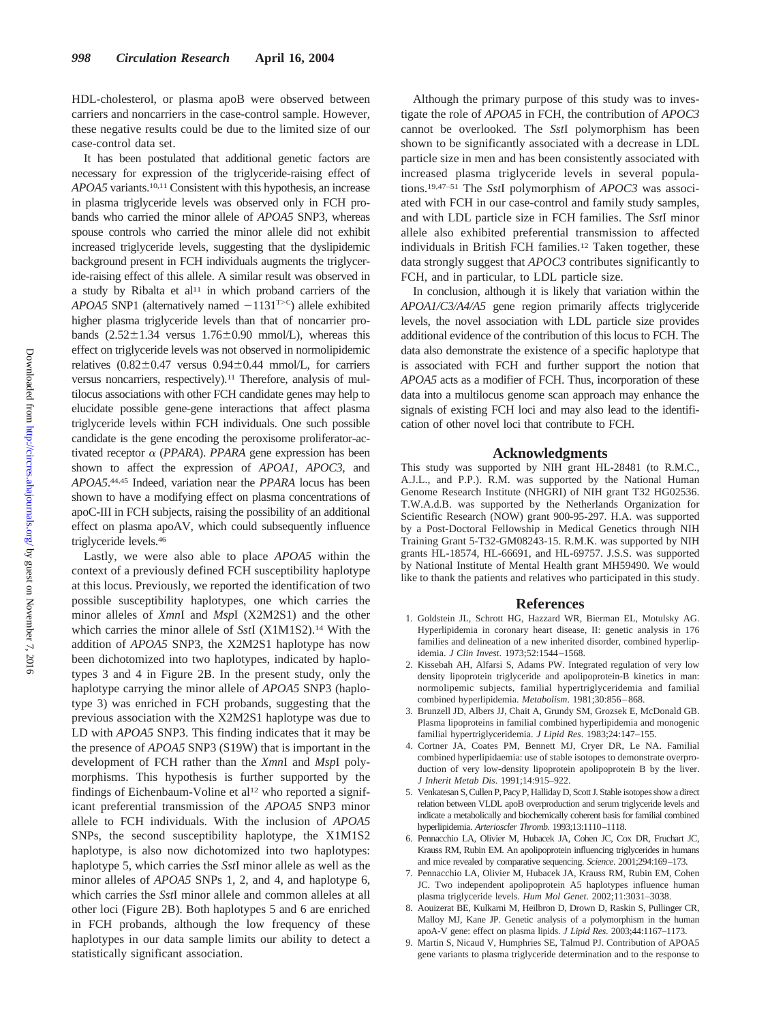HDL-cholesterol, or plasma apoB were observed between carriers and noncarriers in the case-control sample. However, these negative results could be due to the limited size of our case-control data set.

It has been postulated that additional genetic factors are necessary for expression of the triglyceride-raising effect of *APOA5* variants.10,11 Consistent with this hypothesis, an increase in plasma triglyceride levels was observed only in FCH probands who carried the minor allele of *APOA5* SNP3, whereas spouse controls who carried the minor allele did not exhibit increased triglyceride levels, suggesting that the dyslipidemic background present in FCH individuals augments the triglyceride-raising effect of this allele. A similar result was observed in a study by Ribalta et  $al<sup>11</sup>$  in which proband carriers of the *APOA5* SNP1 (alternatively named  $-1131^{T>C}$ ) allele exhibited higher plasma triglyceride levels than that of noncarrier probands  $(2.52 \pm 1.34$  versus  $1.76 \pm 0.90$  mmol/L), whereas this effect on triglyceride levels was not observed in normolipidemic relatives  $(0.82 \pm 0.47$  versus  $0.94 \pm 0.44$  mmol/L, for carriers versus noncarriers, respectively).<sup>11</sup> Therefore, analysis of multilocus associations with other FCH candidate genes may help to elucidate possible gene-gene interactions that affect plasma triglyceride levels within FCH individuals. One such possible candidate is the gene encoding the peroxisome proliferator-activated receptor  $\alpha$  (*PPARA*). *PPARA* gene expression has been shown to affect the expression of *APOA1*, *APOC3*, and *APOA5*. 44,45 Indeed, variation near the *PPARA* locus has been shown to have a modifying effect on plasma concentrations of apoC-III in FCH subjects, raising the possibility of an additional effect on plasma apoAV, which could subsequently influence triglyceride levels.46

Lastly, we were also able to place *APOA5* within the context of a previously defined FCH susceptibility haplotype at this locus. Previously, we reported the identification of two possible susceptibility haplotypes, one which carries the minor alleles of *Xmn*I and *Msp*I (X2M2S1) and the other which carries the minor allele of *Sst*I (X1M1S2).14 With the addition of *APOA5* SNP3, the X2M2S1 haplotype has now been dichotomized into two haplotypes, indicated by haplotypes 3 and 4 in Figure 2B. In the present study, only the haplotype carrying the minor allele of *APOA5* SNP3 (haplotype 3) was enriched in FCH probands, suggesting that the previous association with the X2M2S1 haplotype was due to LD with *APOA5* SNP3. This finding indicates that it may be the presence of *APOA5* SNP3 (S19W) that is important in the development of FCH rather than the *Xmn*I and *Msp*I polymorphisms. This hypothesis is further supported by the findings of Eichenbaum-Voline et al<sup>12</sup> who reported a significant preferential transmission of the *APOA5* SNP3 minor allele to FCH individuals. With the inclusion of *APOA5* SNPs, the second susceptibility haplotype, the X1M1S2 haplotype, is also now dichotomized into two haplotypes: haplotype 5, which carries the *Sst*I minor allele as well as the minor alleles of *APOA5* SNPs 1, 2, and 4, and haplotype 6, which carries the *Sst*I minor allele and common alleles at all other loci (Figure 2B). Both haplotypes 5 and 6 are enriched in FCH probands, although the low frequency of these haplotypes in our data sample limits our ability to detect a statistically significant association.

Although the primary purpose of this study was to investigate the role of *APOA5* in FCH, the contribution of *APOC3* cannot be overlooked. The *Sst*I polymorphism has been shown to be significantly associated with a decrease in LDL particle size in men and has been consistently associated with increased plasma triglyceride levels in several populations.19,47–51 The *Sst*I polymorphism of *APOC3* was associated with FCH in our case-control and family study samples, and with LDL particle size in FCH families. The *Sst*I minor allele also exhibited preferential transmission to affected individuals in British FCH families.<sup>12</sup> Taken together, these data strongly suggest that *APOC3* contributes significantly to FCH, and in particular, to LDL particle size.

In conclusion, although it is likely that variation within the *APOA1/C3/A4/A5* gene region primarily affects triglyceride levels, the novel association with LDL particle size provides additional evidence of the contribution of this locus to FCH. The data also demonstrate the existence of a specific haplotype that is associated with FCH and further support the notion that *APOA5* acts as a modifier of FCH. Thus, incorporation of these data into a multilocus genome scan approach may enhance the signals of existing FCH loci and may also lead to the identification of other novel loci that contribute to FCH.

#### **Acknowledgments**

This study was supported by NIH grant HL-28481 (to R.M.C., A.J.L., and P.P.). R.M. was supported by the National Human Genome Research Institute (NHGRI) of NIH grant T32 HG02536. T.W.A.d.B. was supported by the Netherlands Organization for Scientific Research (NOW) grant 900-95-297. H.A. was supported by a Post-Doctoral Fellowship in Medical Genetics through NIH Training Grant 5-T32-GM08243-15. R.M.K. was supported by NIH grants HL-18574, HL-66691, and HL-69757. J.S.S. was supported by National Institute of Mental Health grant MH59490. We would like to thank the patients and relatives who participated in this study.

#### **References**

- 1. Goldstein JL, Schrott HG, Hazzard WR, Bierman EL, Motulsky AG. Hyperlipidemia in coronary heart disease, II: genetic analysis in 176 families and delineation of a new inherited disorder, combined hyperlipidemia. *J Clin Invest*. 1973;52:1544–1568.
- 2. Kissebah AH, Alfarsi S, Adams PW. Integrated regulation of very low density lipoprotein triglyceride and apolipoprotein-B kinetics in man: normolipemic subjects, familial hypertriglyceridemia and familial combined hyperlipidemia. *Metabolism*. 1981;30:856–868.
- 3. Brunzell JD, Albers JJ, Chait A, Grundy SM, Grozsek E, McDonald GB. Plasma lipoproteins in familial combined hyperlipidemia and monogenic familial hypertriglyceridemia. *J Lipid Res*. 1983;24:147–155.
- 4. Cortner JA, Coates PM, Bennett MJ, Cryer DR, Le NA. Familial combined hyperlipidaemia: use of stable isotopes to demonstrate overproduction of very low-density lipoprotein apolipoprotein B by the liver. *J Inherit Metab Dis*. 1991;14:915–922.
- 5. Venkatesan S, Cullen P, Pacy P, Halliday D, Scott J. Stable isotopes show a direct relation between VLDL apoB overproduction and serum triglyceride levels and indicate a metabolically and biochemically coherent basis for familial combined hyperlipidemia. *Arterioscler Thromb*. 1993;13:1110–1118.
- 6. Pennacchio LA, Olivier M, Hubacek JA, Cohen JC, Cox DR, Fruchart JC, Krauss RM, Rubin EM. An apolipoprotein influencing triglycerides in humans and mice revealed by comparative sequencing. *Science*. 2001;294:169–173.
- 7. Pennacchio LA, Olivier M, Hubacek JA, Krauss RM, Rubin EM, Cohen JC. Two independent apolipoprotein A5 haplotypes influence human plasma triglyceride levels. *Hum Mol Genet*. 2002;11:3031–3038.
- 8. Aouizerat BE, Kulkarni M, Heilbron D, Drown D, Raskin S, Pullinger CR, Malloy MJ, Kane JP. Genetic analysis of a polymorphism in the human apoA-V gene: effect on plasma lipids. *J Lipid Res*. 2003;44:1167–1173.
- 9. Martin S, Nicaud V, Humphries SE, Talmud PJ. Contribution of APOA5 gene variants to plasma triglyceride determination and to the response to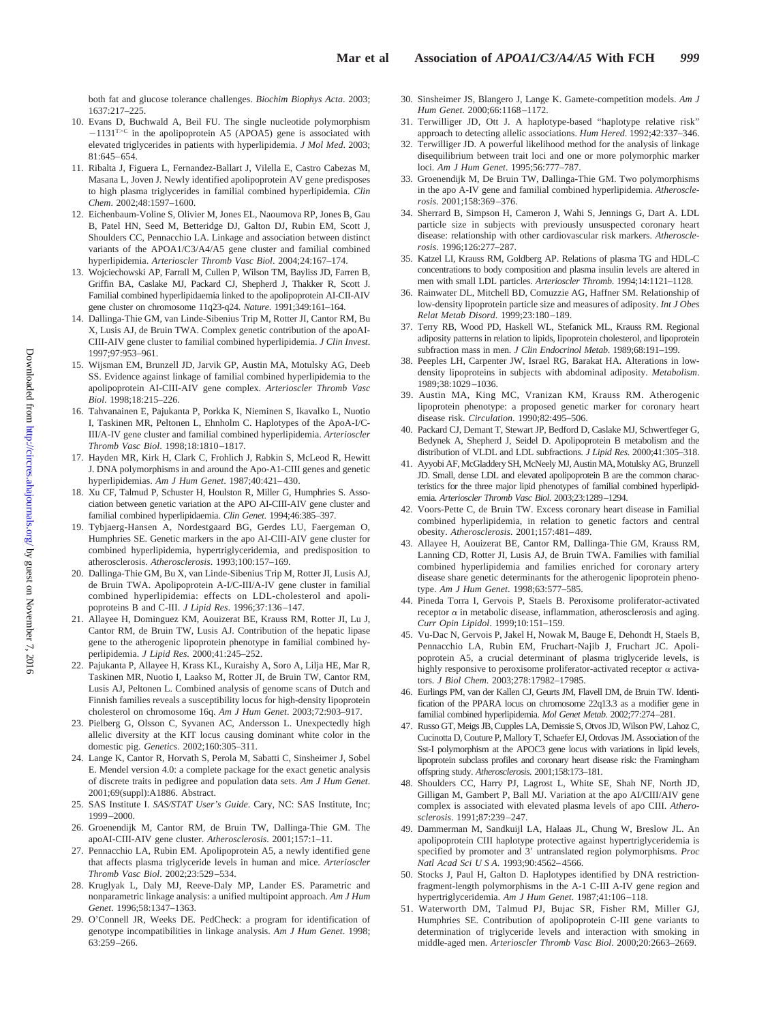both fat and glucose tolerance challenges. *Biochim Biophys Acta*. 2003; 1637:217–225.

- 10. Evans D, Buchwald A, Beil FU. The single nucleotide polymorphism  $-1131^{T>C}$  in the apolipoprotein A5 (APOA5) gene is associated with elevated triglycerides in patients with hyperlipidemia. *J Mol Med*. 2003; 81:645–654.
- 11. Ribalta J, Figuera L, Fernandez-Ballart J, Vilella E, Castro Cabezas M, Masana L, Joven J. Newly identified apolipoprotein AV gene predisposes to high plasma triglycerides in familial combined hyperlipidemia. *Clin Chem*. 2002;48:1597–1600.
- 12. Eichenbaum-Voline S, Olivier M, Jones EL, Naoumova RP, Jones B, Gau B, Patel HN, Seed M, Betteridge DJ, Galton DJ, Rubin EM, Scott J, Shoulders CC, Pennacchio LA. Linkage and association between distinct variants of the APOA1/C3/A4/A5 gene cluster and familial combined hyperlipidemia. *Arterioscler Thromb Vasc Biol*. 2004;24:167–174.
- 13. Wojciechowski AP, Farrall M, Cullen P, Wilson TM, Bayliss JD, Farren B, Griffin BA, Caslake MJ, Packard CJ, Shepherd J, Thakker R, Scott J. Familial combined hyperlipidaemia linked to the apolipoprotein AI-CII-AIV gene cluster on chromosome 11q23-q24. *Nature*. 1991;349:161–164.
- 14. Dallinga-Thie GM, van Linde-Sibenius Trip M, Rotter JI, Cantor RM, Bu X, Lusis AJ, de Bruin TWA. Complex genetic contribution of the apoAI-CIII-AIV gene cluster to familial combined hyperlipidemia. *J Clin Invest*. 1997;97:953–961.
- 15. Wijsman EM, Brunzell JD, Jarvik GP, Austin MA, Motulsky AG, Deeb SS. Evidence against linkage of familial combined hyperlipidemia to the apolipoprotein AI-CIII-AIV gene complex. *Arterioscler Thromb Vasc Biol*. 1998;18:215–226.
- 16. Tahvanainen E, Pajukanta P, Porkka K, Nieminen S, Ikavalko L, Nuotio I, Taskinen MR, Peltonen L, Ehnholm C. Haplotypes of the ApoA-I/C-III/A-IV gene cluster and familial combined hyperlipidemia. *Arterioscler Thromb Vasc Biol*. 1998;18:1810–1817.
- 17. Hayden MR, Kirk H, Clark C, Frohlich J, Rabkin S, McLeod R, Hewitt J. DNA polymorphisms in and around the Apo-A1-CIII genes and genetic hyperlipidemias. *Am J Hum Genet*. 1987;40:421–430.
- 18. Xu CF, Talmud P, Schuster H, Houlston R, Miller G, Humphries S. Association between genetic variation at the APO AI-CIII-AIV gene cluster and familial combined hyperlipidaemia. *Clin Genet*. 1994;46:385–397.
- 19. Tybjaerg-Hansen A, Nordestgaard BG, Gerdes LU, Faergeman O, Humphries SE. Genetic markers in the apo AI-CIII-AIV gene cluster for combined hyperlipidemia, hypertriglyceridemia, and predisposition to atherosclerosis. *Atherosclerosis*. 1993;100:157–169.
- 20. Dallinga-Thie GM, Bu X, van Linde-Sibenius Trip M, Rotter JI, Lusis AJ, de Bruin TWA. Apolipoprotein A-I/C-III/A-IV gene cluster in familial combined hyperlipidemia: effects on LDL-cholesterol and apolipoproteins B and C-III. *J Lipid Res*. 1996;37:136–147.
- 21. Allayee H, Dominguez KM, Aouizerat BE, Krauss RM, Rotter JI, Lu J, Cantor RM, de Bruin TW, Lusis AJ. Contribution of the hepatic lipase gene to the atherogenic lipoprotein phenotype in familial combined hyperlipidemia. *J Lipid Res*. 2000;41:245–252.
- 22. Pajukanta P, Allayee H, Krass KL, Kuraishy A, Soro A, Lilja HE, Mar R, Taskinen MR, Nuotio I, Laakso M, Rotter JI, de Bruin TW, Cantor RM, Lusis AJ, Peltonen L. Combined analysis of genome scans of Dutch and Finnish families reveals a susceptibility locus for high-density lipoprotein cholesterol on chromosome 16q. *Am J Hum Genet*. 2003;72:903–917.
- 23. Pielberg G, Olsson C, Syvanen AC, Andersson L. Unexpectedly high allelic diversity at the KIT locus causing dominant white color in the domestic pig. *Genetics*. 2002;160:305–311.
- 24. Lange K, Cantor R, Horvath S, Perola M, Sabatti C, Sinsheimer J, Sobel E. Mendel version 4.0: a complete package for the exact genetic analysis of discrete traits in pedigree and population data sets. *Am J Hum Genet*. 2001;69(suppl):A1886. Abstract.
- 25. SAS Institute I. *SAS/STAT User's Guide*. Cary, NC: SAS Institute, Inc; 1999–2000.
- 26. Groenendijk M, Cantor RM, de Bruin TW, Dallinga-Thie GM. The apoAI-CIII-AIV gene cluster. *Atherosclerosis*. 2001;157:1–11.
- 27. Pennacchio LA, Rubin EM. Apolipoprotein A5, a newly identified gene that affects plasma triglyceride levels in human and mice. *Arterioscler Thromb Vasc Biol*. 2002;23:529–534.
- 28. Kruglyak L, Daly MJ, Reeve-Daly MP, Lander ES. Parametric and nonparametric linkage analysis: a unified multipoint approach. *Am J Hum Genet*. 1996;58:1347–1363.
- 29. O'Connell JR, Weeks DE. PedCheck: a program for identification of genotype incompatibilities in linkage analysis. *Am J Hum Genet*. 1998; 63:259–266.
- 30. Sinsheimer JS, Blangero J, Lange K. Gamete-competition models. *Am J Hum Genet*. 2000;66:1168–1172.
- 31. Terwilliger JD, Ott J. A haplotype-based "haplotype relative risk" approach to detecting allelic associations. *Hum Hered*. 1992;42:337–346.
- 32. Terwilliger JD. A powerful likelihood method for the analysis of linkage disequilibrium between trait loci and one or more polymorphic marker loci. *Am J Hum Genet*. 1995;56:777–787.
- 33. Groenendijk M, De Bruin TW, Dallinga-Thie GM. Two polymorphisms in the apo A-IV gene and familial combined hyperlipidemia. *Atherosclerosis*. 2001;158:369–376.
- 34. Sherrard B, Simpson H, Cameron J, Wahi S, Jennings G, Dart A. LDL particle size in subjects with previously unsuspected coronary heart disease: relationship with other cardiovascular risk markers. *Atherosclerosis*. 1996;126:277–287.
- 35. Katzel LI, Krauss RM, Goldberg AP. Relations of plasma TG and HDL-C concentrations to body composition and plasma insulin levels are altered in men with small LDL particles. *Arterioscler Thromb*. 1994;14:1121–1128.
- 36. Rainwater DL, Mitchell BD, Comuzzie AG, Haffner SM. Relationship of low-density lipoprotein particle size and measures of adiposity. *Int J Obes Relat Metab Disord*. 1999;23:180–189.
- 37. Terry RB, Wood PD, Haskell WL, Stefanick ML, Krauss RM. Regional adiposity patterns in relation to lipids, lipoprotein cholesterol, and lipoprotein subfraction mass in men. *J Clin Endocrinol Metab*. 1989;68:191–199.
- 38. Peeples LH, Carpenter JW, Israel RG, Barakat HA. Alterations in lowdensity lipoproteins in subjects with abdominal adiposity. *Metabolism*. 1989;38:1029–1036.
- 39. Austin MA, King MC, Vranizan KM, Krauss RM. Atherogenic lipoprotein phenotype: a proposed genetic marker for coronary heart disease risk. *Circulation*. 1990;82:495–506.
- 40. Packard CJ, Demant T, Stewart JP, Bedford D, Caslake MJ, Schwertfeger G, Bedynek A, Shepherd J, Seidel D. Apolipoprotein B metabolism and the distribution of VLDL and LDL subfractions. *J Lipid Res*. 2000;41:305–318.
- 41. Ayyobi AF, McGladdery SH, McNeely MJ, Austin MA, Motulsky AG, Brunzell JD. Small, dense LDL and elevated apolipoprotein B are the common characteristics for the three major lipid phenotypes of familial combined hyperlipidemia. *Arterioscler Thromb Vasc Biol*. 2003;23:1289–1294.
- 42. Voors-Pette C, de Bruin TW. Excess coronary heart disease in Familial combined hyperlipidemia, in relation to genetic factors and central obesity. *Atherosclerosis*. 2001;157:481–489.
- 43. Allayee H, Aouizerat BE, Cantor RM, Dallinga-Thie GM, Krauss RM, Lanning CD, Rotter JI, Lusis AJ, de Bruin TWA. Families with familial combined hyperlipidemia and families enriched for coronary artery disease share genetic determinants for the atherogenic lipoprotein phenotype. *Am J Hum Genet*. 1998;63:577–585.
- 44. Pineda Torra I, Gervois P, Staels B. Peroxisome proliferator-activated receptor  $\alpha$  in metabolic disease, inflammation, atherosclerosis and aging. *Curr Opin Lipidol*. 1999;10:151–159.
- 45. Vu-Dac N, Gervois P, Jakel H, Nowak M, Bauge E, Dehondt H, Staels B, Pennacchio LA, Rubin EM, Fruchart-Najib J, Fruchart JC. Apolipoprotein A5, a crucial determinant of plasma triglyceride levels, is highly responsive to peroxisome proliferator-activated receptor  $\alpha$  activators. *J Biol Chem*. 2003;278:17982–17985.
- 46. Eurlings PM, van der Kallen CJ, Geurts JM, Flavell DM, de Bruin TW. Identification of the PPARA locus on chromosome 22q13.3 as a modifier gene in familial combined hyperlipidemia. *Mol Genet Metab*. 2002;77:274–281.
- 47. Russo GT, Meigs JB, Cupples LA, Demissie S, Otvos JD, Wilson PW, Lahoz C, Cucinotta D, Couture P, Mallory T, Schaefer EJ, Ordovas JM. Association of the Sst-I polymorphism at the APOC3 gene locus with variations in lipid levels, lipoprotein subclass profiles and coronary heart disease risk: the Framingham offspring study. *Atherosclerosis*. 2001;158:173–181.
- 48. Shoulders CC, Harry PJ, Lagrost L, White SE, Shah NF, North JD, Gilligan M, Gambert P, Ball MJ. Variation at the apo AI/CIII/AIV gene complex is associated with elevated plasma levels of apo CIII. *Atherosclerosis*. 1991;87:239–247.
- 49. Dammerman M, Sandkuijl LA, Halaas JL, Chung W, Breslow JL. An apolipoprotein CIII haplotype protective against hypertriglyceridemia is specified by promoter and 3' untranslated region polymorphisms. *Proc Natl Acad Sci U S A*. 1993;90:4562–4566.
- 50. Stocks J, Paul H, Galton D. Haplotypes identified by DNA restrictionfragment-length polymorphisms in the A-1 C-III A-IV gene region and hypertriglyceridemia. *Am J Hum Genet*. 1987;41:106–118.
- 51. Waterworth DM, Talmud PJ, Bujac SR, Fisher RM, Miller GJ, Humphries SE. Contribution of apolipoprotein C-III gene variants to determination of triglyceride levels and interaction with smoking in middle-aged men. *Arterioscler Thromb Vasc Biol*. 2000;20:2663–2669.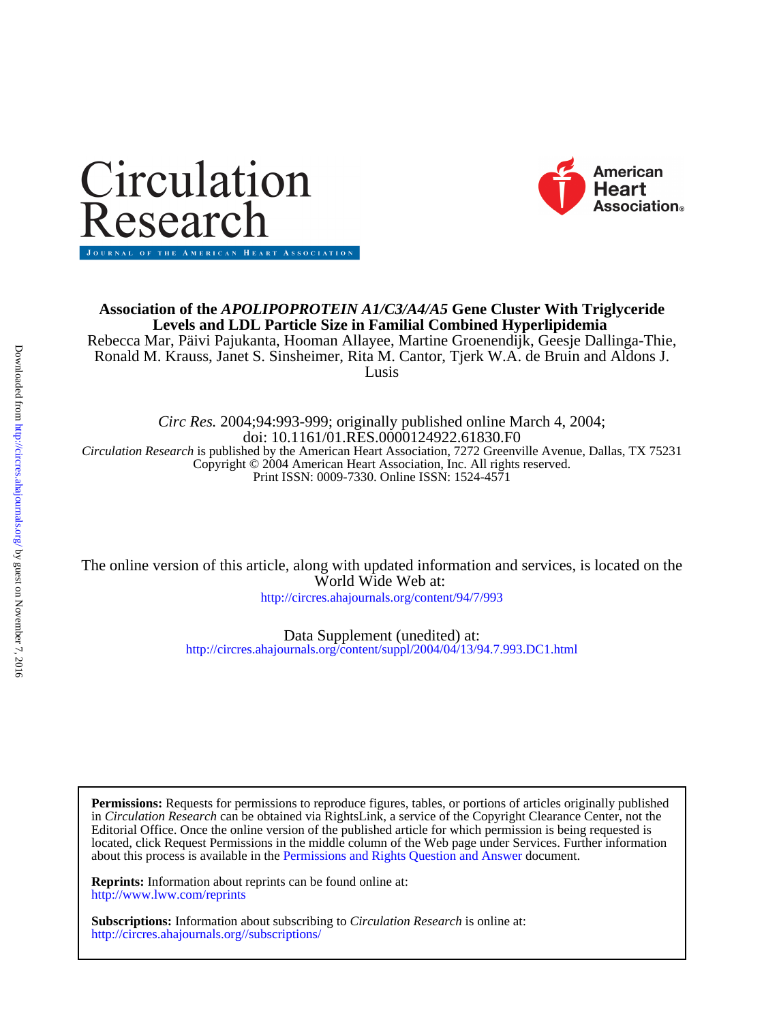



## Lusis Ronald M. Krauss, Janet S. Sinsheimer, Rita M. Cantor, Tjerk W.A. de Bruin and Aldons J. Rebecca Mar, Päivi Pajukanta, Hooman Allayee, Martine Groenendijk, Geesje Dallinga-Thie, **Levels and LDL Particle Size in Familial Combined Hyperlipidemia Association of the** *APOLIPOPROTEIN A1/C3/A4/A5* **Gene Cluster With Triglyceride**

Print ISSN: 0009-7330. Online ISSN: 1524-4571 Copyright © 2004 American Heart Association, Inc. All rights reserved. *Circulation Research* is published by the American Heart Association, 7272 Greenville Avenue, Dallas, TX 75231 doi: 10.1161/01.RES.0000124922.61830.F0 *Circ Res.* 2004;94:993-999; originally published online March 4, 2004;

World Wide Web at: The online version of this article, along with updated information and services, is located on the

<http://circres.ahajournals.org/content/94/7/993>

<http://circres.ahajournals.org/content/suppl/2004/04/13/94.7.993.DC1.html> Data Supplement (unedited) at:

about this process is available in the [Permissions and Rights Question and Answer d](http://www.ahajournals.org/site/rights/)ocument. located, click Request Permissions in the middle column of the Web page under Services. Further information Editorial Office. Once the online version of the published article for which permission is being requested is in *Circulation Research* can be obtained via RightsLink, a service of the Copyright Clearance Center, not the **Permissions:** Requests for permissions to reproduce figures, tables, or portions of articles originally published

<http://www.lww.com/reprints> **Reprints:** Information about reprints can be found online at:

<http://circres.ahajournals.org//subscriptions/> **Subscriptions:** Information about subscribing to *Circulation Research* is online at: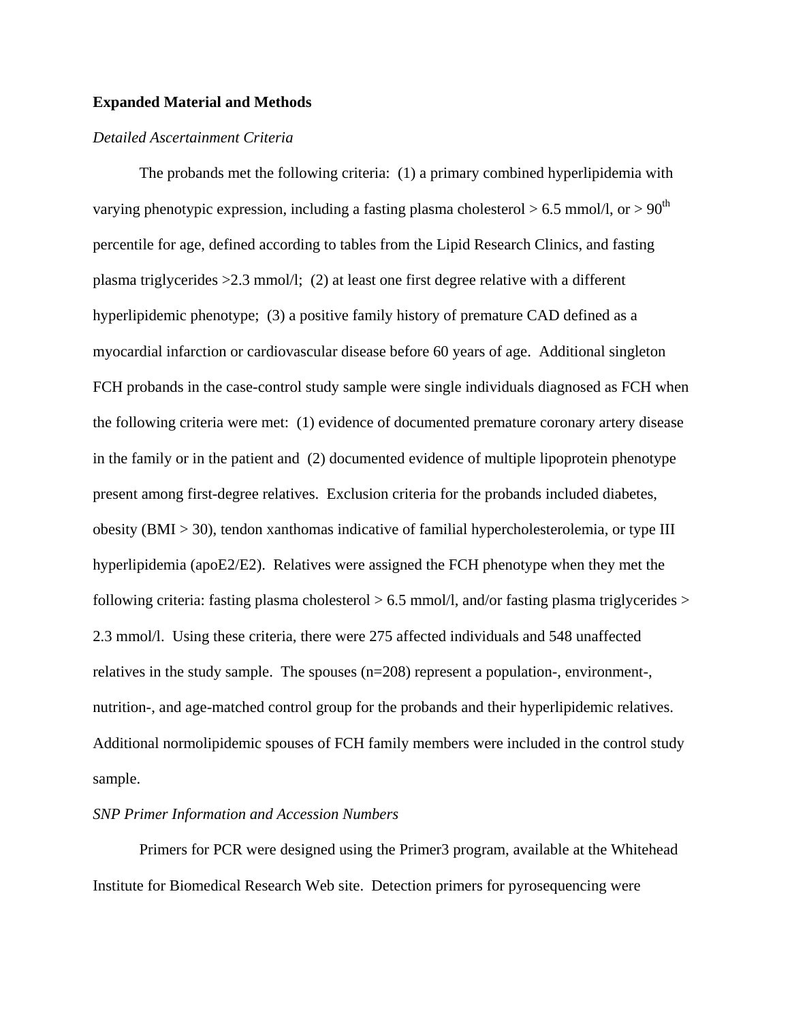## **Expanded Material and Methods**

## *Detailed Ascertainment Criteria*

The probands met the following criteria: (1) a primary combined hyperlipidemia with varying phenotypic expression, including a fasting plasma cholesterol  $> 6.5$  mmol/l, or  $> 90<sup>th</sup>$ percentile for age, defined according to tables from the Lipid Research Clinics, and fasting plasma triglycerides  $>2.3$  mmol/l; (2) at least one first degree relative with a different hyperlipidemic phenotype; (3) a positive family history of premature CAD defined as a myocardial infarction or cardiovascular disease before 60 years of age. Additional singleton FCH probands in the case-control study sample were single individuals diagnosed as FCH when the following criteria were met: (1) evidence of documented premature coronary artery disease in the family or in the patient and (2) documented evidence of multiple lipoprotein phenotype present among first-degree relatives. Exclusion criteria for the probands included diabetes, obesity (BMI > 30), tendon xanthomas indicative of familial hypercholesterolemia, or type III hyperlipidemia (apoE2/E2). Relatives were assigned the FCH phenotype when they met the following criteria: fasting plasma cholesterol  $> 6.5$  mmol/l, and/or fasting plasma triglycerides  $>$ 2.3 mmol/l. Using these criteria, there were 275 affected individuals and 548 unaffected relatives in the study sample. The spouses (n=208) represent a population-, environment-, nutrition-, and age-matched control group for the probands and their hyperlipidemic relatives. Additional normolipidemic spouses of FCH family members were included in the control study sample.

## *SNP Primer Information and Accession Numbers*

Primers for PCR were designed using the Primer3 program, available at the Whitehead Institute for Biomedical Research Web site. Detection primers for pyrosequencing were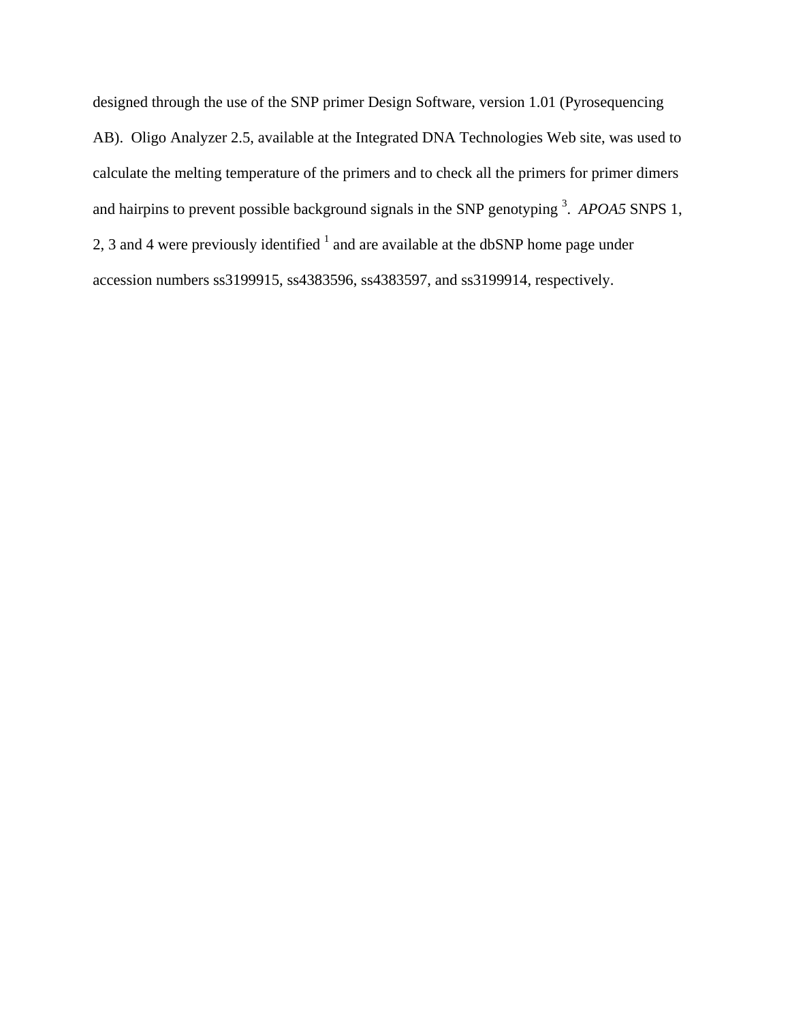designed through the use of the SNP primer Design Software, version 1.01 (Pyrosequencing AB). Oligo Analyzer 2.5, available at the Integrated DNA Technologies Web site, was used to calculate the melting temperature of the primers and to check all the primers for primer dimers and hairpins to prevent possible background signals in the SNP genotyping <sup>3</sup>. APOA5 SNPS 1, 2, 3 and 4 were previously identified  $<sup>1</sup>$  and are available at the dbSNP home page under</sup> accession numbers ss3199915, ss4383596, ss4383597, and ss3199914, respectively.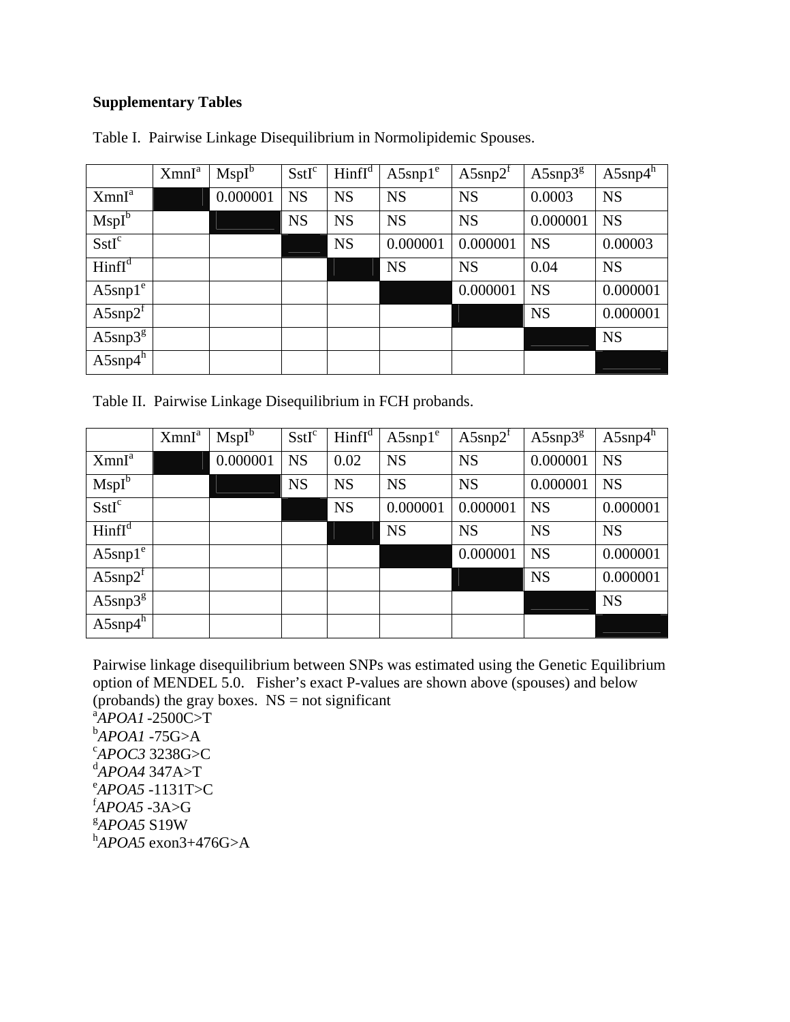## **Supplementary Tables**

|                   | XmnI <sup>a</sup> | $MspI^b$ | SstI <sup>c</sup> | $\text{Hinfl}^d$ | $A5$ snp $1^e$ | $A5$ snp $2^r$ | $A5$ snp $3^g$ | $A5$ snp $4^h$ |
|-------------------|-------------------|----------|-------------------|------------------|----------------|----------------|----------------|----------------|
| XmnI <sup>a</sup> |                   | 0.000001 | <b>NS</b>         | <b>NS</b>        | <b>NS</b>      | <b>NS</b>      | 0.0003         | <b>NS</b>      |
| $MspI^b$          |                   |          | <b>NS</b>         | <b>NS</b>        | <b>NS</b>      | <b>NS</b>      | 0.000001       | <b>NS</b>      |
| SstI <sup>c</sup> |                   |          |                   | <b>NS</b>        | 0.000001       | 0.000001       | <b>NS</b>      | 0.00003        |
| $\text{Hinfl}^d$  |                   |          |                   |                  | <b>NS</b>      | <b>NS</b>      | 0.04           | <b>NS</b>      |
| $A5$ snp $1^e$    |                   |          |                   |                  |                | 0.000001       | <b>NS</b>      | 0.000001       |
| $A5$ snp $2^f$    |                   |          |                   |                  |                |                | <b>NS</b>      | 0.000001       |
| $A5$ snp $3^g$    |                   |          |                   |                  |                |                |                | <b>NS</b>      |
| $A5$ snp4 $h$     |                   |          |                   |                  |                |                |                |                |

Table I. Pairwise Linkage Disequilibrium in Normolipidemic Spouses.

Table II. Pairwise Linkage Disequilibrium in FCH probands.

|                    | XmnI <sup>a</sup> | $MspI^b$ | SstI <sup>c</sup> | $\text{Hinfl}^d$ | $A5$ snp $1^e$ | $A5$ snp $2^r$ | $A5$ snp $3g$ | $A5$ snp $4^h$ |
|--------------------|-------------------|----------|-------------------|------------------|----------------|----------------|---------------|----------------|
| XmnI <sup>a</sup>  |                   | 0.000001 | <b>NS</b>         | 0.02             | <b>NS</b>      | <b>NS</b>      | 0.000001      | <b>NS</b>      |
| $MspI^b$           |                   |          | <b>NS</b>         | <b>NS</b>        | <b>NS</b>      | <b>NS</b>      | 0.000001      | <b>NS</b>      |
| SstI <sup>c</sup>  |                   |          |                   | <b>NS</b>        | 0.000001       | 0.000001       | <b>NS</b>     | 0.000001       |
| HintI <sup>d</sup> |                   |          |                   |                  | <b>NS</b>      | <b>NS</b>      | <b>NS</b>     | <b>NS</b>      |
| $A5$ snp $1^e$     |                   |          |                   |                  |                | 0.000001       | <b>NS</b>     | 0.000001       |
| $A5$ snp $2^f$     |                   |          |                   |                  |                |                | <b>NS</b>     | 0.000001       |
| $A5$ snp $3^g$     |                   |          |                   |                  |                |                |               | <b>NS</b>      |
| $A5$ snp $4^h$     |                   |          |                   |                  |                |                |               |                |

Pairwise linkage disequilibrium between SNPs was estimated using the Genetic Equilibrium option of MENDEL 5.0. Fisher's exact P-values are shown above (spouses) and below (probands) the gray boxes.  $NS = not significant$ 

a *APOA1* -2500C>T **b**<br>**CAPOC2** 2229C-1 *APOC3* 3238G>C <sup>d</sup><br>e<sub>4</sub> *poa5* 1121Ts *APOA5* -1131T>C f *APOA5* -3A>G g *APOA5* S19W h *APOA5* exon3+476G>A